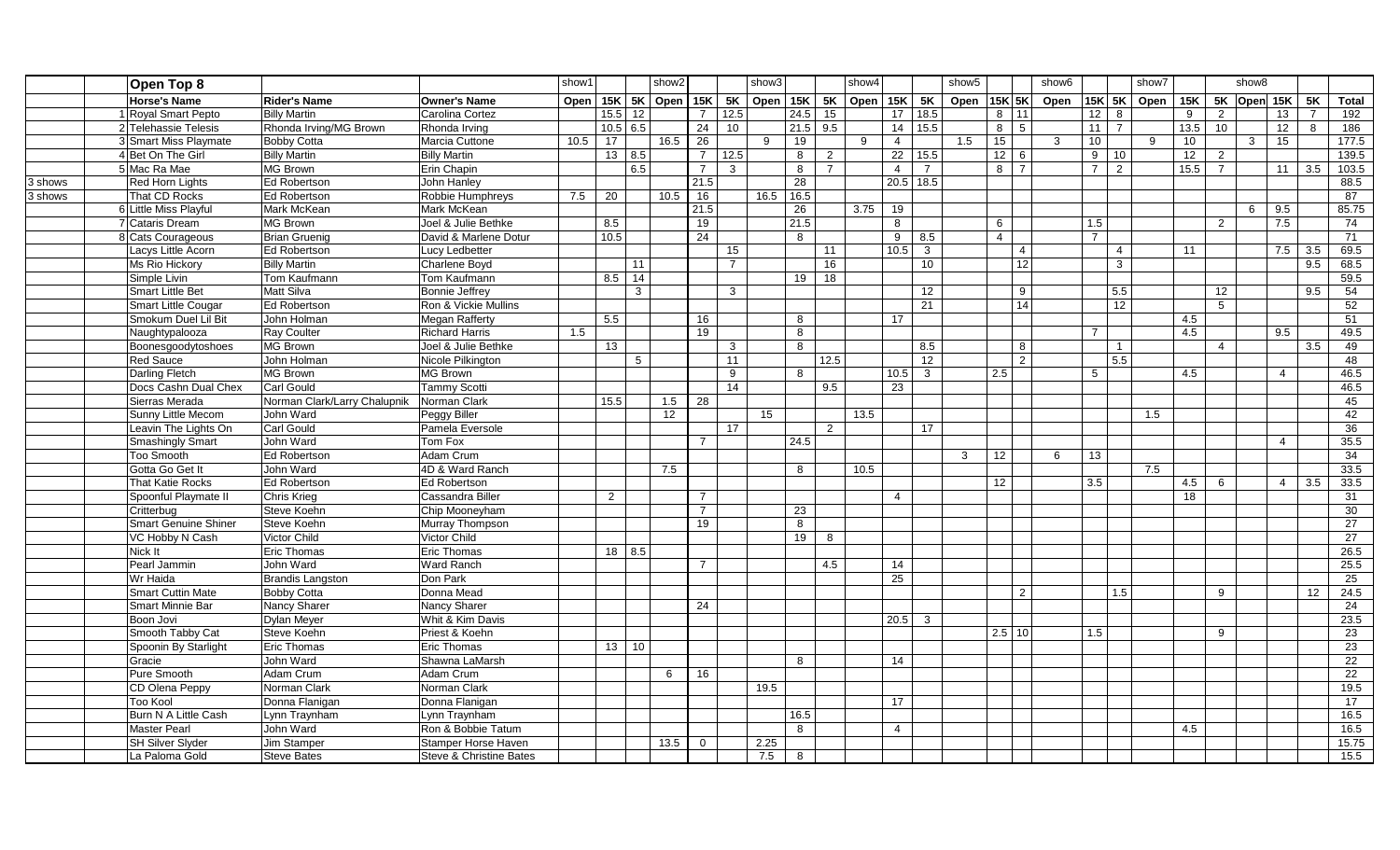|         | Open Top 8               |                              |                         | show2<br>show1 |                                   | show3           |                 |                 |                 | show4                                          |            |                   | show5 |                 |                 | show <sub>6</sub> |                | show7          |              |                 |                | show8       |      |                 |                         |                 |                |                 |
|---------|--------------------------|------------------------------|-------------------------|----------------|-----------------------------------|-----------------|-----------------|-----------------|-----------------|------------------------------------------------|------------|-------------------|-------|-----------------|-----------------|-------------------|----------------|----------------|--------------|-----------------|----------------|-------------|------|-----------------|-------------------------|-----------------|----------------|-----------------|
|         | <b>Horse's Name</b>      | Rider's Name                 | <b>Owner's Name</b>     |                |                                   |                 |                 |                 |                 | Open   15K   5K   Open   15K   5K   Open   15K |            | 5K Open 15K 5K    |       |                 |                 | Open 15K 5K       |                |                | Open         |                 |                | 15K 5K Open |      |                 | 15K   5K $ $ Open   15K |                 | <b>5K</b>      | <b>Total</b>    |
|         | 1 Royal Smart Pepto      | <b>Billy Martin</b>          | Carolina Cortez         |                | $\overline{15.5}$ $\overline{12}$ |                 |                 | $\overline{7}$  | 12.5            |                                                | 24.5       | 15                |       | 17 <sup>1</sup> | 18.5            |                   | $8 \mid 11$    |                |              | 12              | 8              |             | 9    | $\overline{2}$  |                         | 13              | $\overline{7}$ | 192             |
|         | 2 Telehassie Telesis     | Rhonda Irving/MG Brown       | Rhonda Irving           |                | $10.5$ 6.5                        |                 |                 | $\overline{24}$ | 10 <sup>1</sup> |                                                | $21.5$ 9.5 |                   |       | 14              | 15.5            |                   | $8 \mid 5$     |                |              | 11              | $\overline{7}$ |             | 13.5 | $\overline{10}$ |                         | 12              | 8              | 186             |
|         | 3 Smart Miss Playmate    | <b>Bobby Cotta</b>           | Marcia Cuttone          | 10.5           | 17                                |                 | 16.5            | 26              |                 | 9                                              | 19         |                   | 9     | $\overline{4}$  |                 | 1.5               | 15             |                | $\mathbf{3}$ | 10 <sup>°</sup> |                | 9           | 10   |                 | $\mathbf{3}$            | 15              |                | 177.5           |
|         | 4 Bet On The Girl        | <b>Billy Martin</b>          | <b>Billy Martin</b>     |                | 13   8.5                          |                 |                 | $\overline{7}$  | 12.5            |                                                | 8          | $\overline{2}$    |       | 22              | 15.5            |                   | $12 \mid 6$    |                |              | 9               | 10             |             | 12   | $\overline{2}$  |                         |                 |                | 139.5           |
|         | 5 Mac Ra Mae             | MG Brown                     | Erin Chapin             |                |                                   | 6.5             |                 | $\overline{7}$  | $\mathbf{3}$    |                                                | 8          | $\overline{7}$    |       | $\overline{4}$  | $\overline{7}$  |                   | $8 \mid 7$     |                |              | $\overline{7}$  | $\overline{2}$ |             | 15.5 | $\overline{7}$  |                         | 11 <sup>1</sup> | 3.5            | 103.5           |
| 3 shows | Red Horn Lights          | Ed Robertson                 | John Hanley             |                |                                   |                 |                 | 21.5            |                 |                                                | 28         |                   |       | $20.5$ 18.5     |                 |                   |                |                |              |                 |                |             |      |                 |                         |                 |                | 88.5            |
| 3 shows | That CD Rocks            | Ed Robertson                 | Robbie Humphreys        | 7.5            | 20                                |                 | 10.5            | 16              |                 | 16.5                                           | 16.5       |                   |       |                 |                 |                   |                |                |              |                 |                |             |      |                 |                         |                 |                | 87              |
|         | 6 Little Miss Playful    | Mark McKean                  | Mark McKean             |                |                                   |                 |                 | 21.5            |                 |                                                | 26         |                   | 3.75  | 19              |                 |                   |                |                |              |                 |                |             |      |                 | 6                       | 9.5             |                | 85.75           |
|         | 7 Cataris Dream          | MG Brown                     | Joel & Julie Bethke     |                | 8.5                               |                 |                 | 19              |                 |                                                | 21.5       |                   |       | 8               |                 |                   | 6              |                |              | 1.5             |                |             |      | 2               |                         | 7.5             |                | 74              |
|         | 8 Cats Courageous        | Brian Gruenig                | David & Marlene Dotur   |                | 10.5                              |                 |                 | 24              |                 |                                                | 8          |                   |       | 9               | 8.5             |                   | $\overline{4}$ |                |              | $\overline{7}$  |                |             |      |                 |                         |                 |                | $\overline{71}$ |
|         | Lacys Little Acorn       | <b>Ed Robertson</b>          | Lucy Ledbetter          |                |                                   |                 |                 |                 | 15              |                                                |            | 11                |       | 10.5            | $\mathbf{3}$    |                   |                | $\overline{4}$ |              |                 | 4              |             | 11   |                 |                         | 7.5             | 3.5            | 69.5            |
|         | Ms Rio Hickory           | <b>Billy Martin</b>          | Charlene Boyd           |                |                                   | 11              |                 |                 | $\overline{7}$  |                                                |            | 16                |       |                 | 10 <sup>1</sup> |                   |                | 12             |              |                 | 3              |             |      |                 |                         |                 | 9.5            | 68.5            |
|         | Simple Livin             | Tom Kaufmann                 | Tom Kaufmann            |                | 8.5                               | 14              |                 |                 |                 |                                                | 19         | 18                |       |                 |                 |                   |                |                |              |                 |                |             |      |                 |                         |                 |                | 59.5            |
|         | <b>Smart Little Bet</b>  | Matt Silva                   | <b>Bonnie Jeffrey</b>   |                |                                   | $\mathbf{3}$    |                 |                 | 3               |                                                |            |                   |       |                 | 12              |                   |                | 9              |              |                 | 5.5            |             |      | 12 <sup>2</sup> |                         |                 | 9.5            | 54              |
|         | Smart Little Cougar      | Ed Robertson                 | Ron & Vickie Mullins    |                |                                   |                 |                 |                 |                 |                                                |            |                   |       |                 | 21              |                   |                | 14             |              |                 | 12             |             |      | $5^{\circ}$     |                         |                 |                | 52              |
|         | Smokum Duel Lil Bit      | John Holman                  | <b>Megan Rafferty</b>   |                | 5.5                               |                 |                 | 16              |                 |                                                | 8          |                   |       | 17              |                 |                   |                |                |              |                 |                |             | 4.5  |                 |                         |                 |                | 51              |
|         | Naughtypalooza           | Ray Coulter                  | <b>Richard Harris</b>   | 1.5            |                                   |                 |                 | 19              |                 |                                                | 8          |                   |       |                 |                 |                   |                |                |              | $\overline{7}$  |                |             | 4.5  |                 |                         | 9.5             |                | 49.5            |
|         | Boonesgoodytoshoes       | MG Brown                     | Joel & Julie Bethke     |                | 13                                |                 |                 |                 | 3               |                                                | 8          |                   |       |                 | 8.5             |                   |                | 8              |              |                 | $\overline{1}$ |             |      | $\overline{4}$  |                         |                 | 3.5            | 49              |
|         | <b>Red Sauce</b>         | John Holman                  | Nicole Pilkington       |                |                                   | $5\overline{5}$ |                 |                 | 11              |                                                |            | $\overline{12.5}$ |       |                 | 12              |                   |                | $\overline{2}$ |              |                 | 5.5            |             |      |                 |                         |                 |                | 48              |
|         | Darling Fletch           | MG Brown                     | MG Brown                |                |                                   |                 |                 |                 | 9               |                                                | 8          |                   |       | 10.5            | $\overline{3}$  |                   | 2.5            |                |              | $5^{\circ}$     |                |             | 4.5  |                 |                         | $\overline{4}$  |                | 46.5            |
|         | Docs Cashn Dual Chex     | Carl Gould                   | <b>Tammy Scotti</b>     |                |                                   |                 |                 |                 | 14              |                                                |            | 9.5               |       | 23              |                 |                   |                |                |              |                 |                |             |      |                 |                         |                 |                | 46.5            |
|         | Sierras Merada           | Norman Clark/Larry Chalupnik | Norman Clark            |                | 15.5                              |                 | 1.5             | 28              |                 |                                                |            |                   |       |                 |                 |                   |                |                |              |                 |                |             |      |                 |                         |                 |                | 45              |
|         | Sunny Little Mecom       | John Ward                    | Peggy Biller            |                |                                   |                 | 12 <sup>°</sup> |                 |                 | 15                                             |            |                   | 13.5  |                 |                 |                   |                |                |              |                 |                | 1.5         |      |                 |                         |                 |                | 42              |
|         | Leavin The Lights On     | Carl Gould                   | Pamela Eversole         |                |                                   |                 |                 |                 | 17              |                                                |            | $\overline{2}$    |       |                 | 17              |                   |                |                |              |                 |                |             |      |                 |                         |                 |                | 36              |
|         | Smashingly Smart         | John Ward                    | Tom Fox                 |                |                                   |                 |                 | $\overline{7}$  |                 |                                                | 24.5       |                   |       |                 |                 |                   |                |                |              |                 |                |             |      |                 |                         | $\overline{4}$  |                | 35.5            |
|         | <b>Too Smooth</b>        | Ed Robertson                 | Adam Crum               |                |                                   |                 |                 |                 |                 |                                                |            |                   |       |                 |                 | $\mathbf{3}$      | 12             |                | 6            | 13              |                |             |      |                 |                         |                 |                | 34              |
|         | Gotta Go Get It          | John Ward                    | 4D & Ward Ranch         |                |                                   |                 | 7.5             |                 |                 |                                                | 8          |                   | 10.5  |                 |                 |                   |                |                |              |                 |                | 7.5         |      |                 |                         |                 |                | 33.5            |
|         | That Katie Rocks         | Ed Robertson                 | <b>Ed Robertson</b>     |                |                                   |                 |                 |                 |                 |                                                |            |                   |       |                 |                 |                   | 12             |                |              | 3.5             |                |             | 4.5  | 6               |                         | $\overline{4}$  | 3.5            | 33.5            |
|         | Spoonful Playmate II     | Chris Krieg                  | Cassandra Biller        |                | 2                                 |                 |                 | $\overline{7}$  |                 |                                                |            |                   |       | $\overline{4}$  |                 |                   |                |                |              |                 |                |             | 18   |                 |                         |                 |                | 31              |
|         | Critterbug               | Steve Koehn                  | Chip Mooneyham          |                |                                   |                 |                 | $\overline{7}$  |                 |                                                | 23         |                   |       |                 |                 |                   |                |                |              |                 |                |             |      |                 |                         |                 |                | 30              |
|         | Smart Genuine Shiner     | Steve Koehn                  | Murray Thompson         |                |                                   |                 |                 | 19              |                 |                                                | 8          |                   |       |                 |                 |                   |                |                |              |                 |                |             |      |                 |                         |                 |                | 27              |
|         | VC Hobby N Cash          | Victor Child                 | Victor Child            |                |                                   |                 |                 |                 |                 |                                                | 19         | 8                 |       |                 |                 |                   |                |                |              |                 |                |             |      |                 |                         |                 |                | 27              |
|         | Nick It                  | Eric Thomas                  | Eric Thomas             |                | $18$ 8.5                          |                 |                 |                 |                 |                                                |            |                   |       |                 |                 |                   |                |                |              |                 |                |             |      |                 |                         |                 |                | 26.5            |
|         | Pearl Jammin             | John Ward                    | <b>Ward Ranch</b>       |                |                                   |                 |                 | $\overline{7}$  |                 |                                                |            | 4.5               |       | 14              |                 |                   |                |                |              |                 |                |             |      |                 |                         |                 |                | 25.5            |
|         | Wr Haida                 | <b>Brandis Langston</b>      | Don Park                |                |                                   |                 |                 |                 |                 |                                                |            |                   |       | $\overline{25}$ |                 |                   |                |                |              |                 |                |             |      |                 |                         |                 |                | 25              |
|         | <b>Smart Cuttin Mate</b> | <b>Bobby Cotta</b>           | Donna Mead              |                |                                   |                 |                 |                 |                 |                                                |            |                   |       |                 |                 |                   |                | 2              |              |                 | 1.5            |             |      | 9               |                         |                 | 12             | 24.5            |
|         | Smart Minnie Bar         | Nancy Sharer                 | Nancy Sharer            |                |                                   |                 |                 | 24              |                 |                                                |            |                   |       |                 |                 |                   |                |                |              |                 |                |             |      |                 |                         |                 |                | 24              |
|         | Boon Jovi                | <b>Dylan Meyer</b>           | Whit & Kim Davis        |                |                                   |                 |                 |                 |                 |                                                |            |                   |       | $20.5$ 3        |                 |                   |                |                |              |                 |                |             |      |                 |                         |                 |                | 23.5            |
|         | Smooth Tabby Cat         | Steve Koehn                  | Priest & Koehn          |                |                                   |                 |                 |                 |                 |                                                |            |                   |       |                 |                 |                   | $2.5$ 10       |                |              | 1.5             |                |             |      | 9               |                         |                 |                | 23              |
|         | Spoonin By Starlight     | Eric Thomas                  | Eric Thomas             |                |                                   | $13 \mid 10$    |                 |                 |                 |                                                |            |                   |       |                 |                 |                   |                |                |              |                 |                |             |      |                 |                         |                 |                | $\overline{23}$ |
|         | Gracie                   | John Ward                    | Shawna LaMarsh          |                |                                   |                 |                 |                 |                 |                                                | 8          |                   |       | 14              |                 |                   |                |                |              |                 |                |             |      |                 |                         |                 |                | 22              |
|         | Pure Smooth              | Adam Crum                    | Adam Crum               |                |                                   |                 | 6               | 16              |                 |                                                |            |                   |       |                 |                 |                   |                |                |              |                 |                |             |      |                 |                         |                 |                | 22              |
|         | CD Olena Peppy           | Norman Clark                 | Norman Clark            |                |                                   |                 |                 |                 |                 | 19.5                                           |            |                   |       |                 |                 |                   |                |                |              |                 |                |             |      |                 |                         |                 |                | 19.5            |
|         | Too Kool                 | Donna Flanigan               | Donna Flanigan          |                |                                   |                 |                 |                 |                 |                                                |            |                   |       | 17              |                 |                   |                |                |              |                 |                |             |      |                 |                         |                 |                | 17              |
|         | Burn N A Little Cash     | Lynn Traynham                | Lynn Traynham           |                |                                   |                 |                 |                 |                 |                                                | 16.5       |                   |       |                 |                 |                   |                |                |              |                 |                |             |      |                 |                         |                 |                | 16.5            |
|         | <b>Master Pearl</b>      | John Ward                    | Ron & Bobbie Tatum      |                |                                   |                 |                 |                 |                 |                                                | 8          |                   |       | $\overline{4}$  |                 |                   |                |                |              |                 |                |             | 4.5  |                 |                         |                 |                | 16.5            |
|         | <b>SH Silver Slyder</b>  | Jim Stamper                  | Stamper Horse Haven     |                |                                   |                 | 13.5            | $\mathbf{0}$    |                 | 2.25                                           |            |                   |       |                 |                 |                   |                |                |              |                 |                |             |      |                 |                         |                 |                | 15.75           |
|         | La Paloma Gold           | <b>Steve Bates</b>           | Steve & Christine Bates |                |                                   |                 |                 |                 |                 | 7.5                                            | 8          |                   |       |                 |                 |                   |                |                |              |                 |                |             |      |                 |                         |                 |                | 15.5            |
|         |                          |                              |                         |                |                                   |                 |                 |                 |                 |                                                |            |                   |       |                 |                 |                   |                |                |              |                 |                |             |      |                 |                         |                 |                |                 |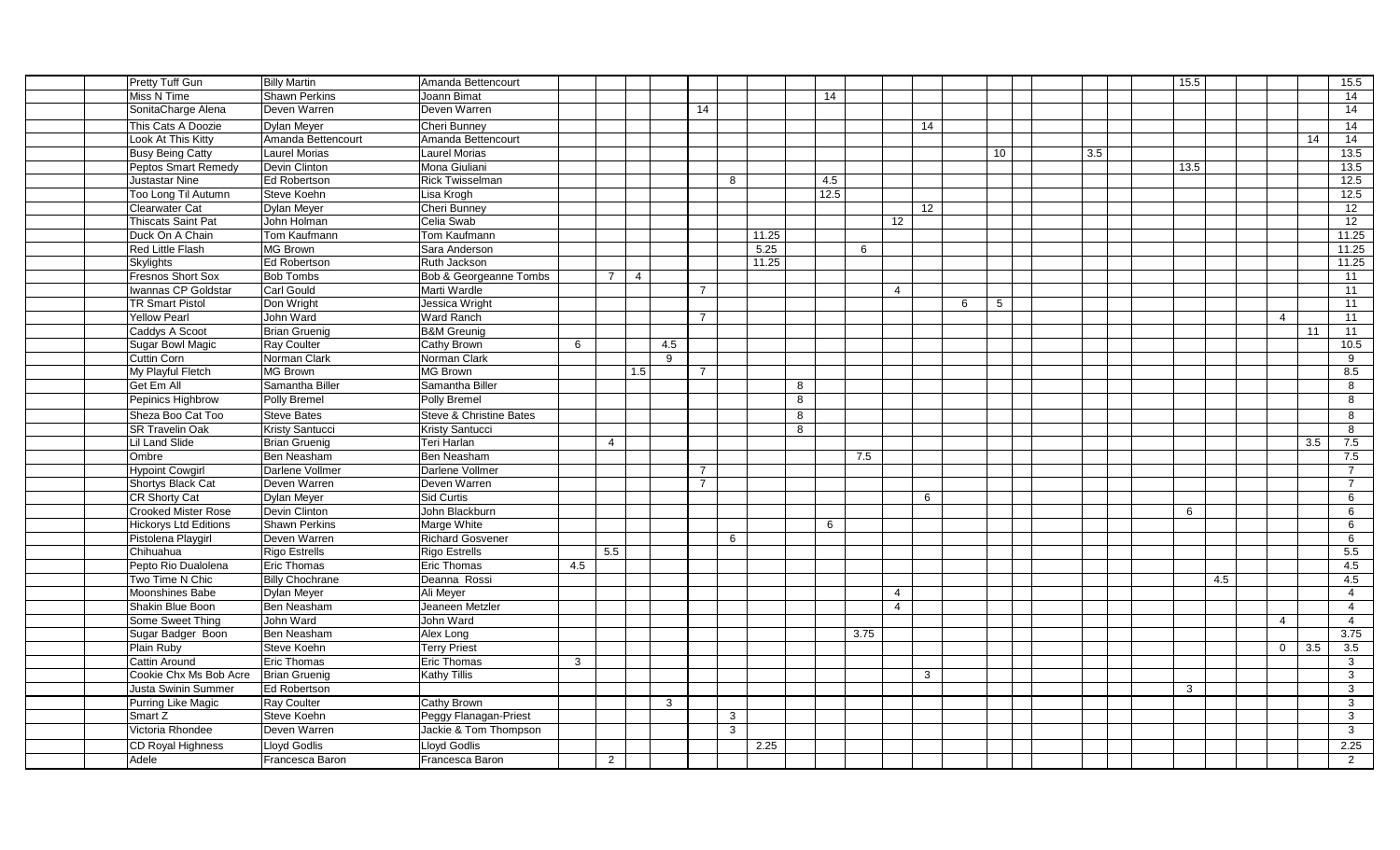| Pretty Tuff Gun            | <b>Billy Martin</b>    | Amanda Bettencourt                 |     |                                  |              |                |              |   |      |                |                 |   |                 |  |     | 15.5         |     |                         |     | 15.5             |
|----------------------------|------------------------|------------------------------------|-----|----------------------------------|--------------|----------------|--------------|---|------|----------------|-----------------|---|-----------------|--|-----|--------------|-----|-------------------------|-----|------------------|
| Miss N Time                | <b>Shawn Perkins</b>   | Joann Bimat                        |     |                                  |              |                |              |   | 14   |                |                 |   |                 |  |     |              |     |                         |     | 14               |
| SonitaCharge Alena         | Deven Warren           | Deven Warren                       |     |                                  |              | 14             |              |   |      |                |                 |   |                 |  |     |              |     |                         |     | 14               |
| This Cats A Doozie         | <b>Dylan Meyer</b>     | Cheri Bunney                       |     |                                  |              |                |              |   |      |                | 14              |   |                 |  |     |              |     |                         |     | 14               |
| Look At This Kitty         | Amanda Bettencourt     | Amanda Bettencourt                 |     |                                  |              |                |              |   |      |                |                 |   |                 |  |     |              |     |                         | 14  | $\overline{14}$  |
| <b>Busy Being Catty</b>    | <b>Laurel Morias</b>   | <b>Laurel Morias</b>               |     |                                  |              |                |              |   |      |                |                 |   | 10              |  | 3.5 |              |     |                         |     | 13.5             |
| Peptos Smart Remedy        | Devin Clinton          | Mona Giuliani                      |     |                                  |              |                |              |   |      |                |                 |   |                 |  |     | 13.5         |     |                         |     | 13.5             |
| Justastar Nine             | Ed Robertson           | <b>Rick Twisselman</b>             |     |                                  |              |                | 8            |   | 4.5  |                |                 |   |                 |  |     |              |     |                         |     | 12.5             |
| Too Long Til Autumn        | Steve Koehn            | Lisa Krogh                         |     |                                  |              |                |              |   | 12.5 |                |                 |   |                 |  |     |              |     |                         |     | 12.5             |
| <b>Clearwater Cat</b>      | <b>Dylan Meyer</b>     | Cheri Bunney                       |     |                                  |              |                |              |   |      |                | 12 <sup>2</sup> |   |                 |  |     |              |     |                         |     | 12               |
| Thiscats Saint Pat         | John Holman            | Celia Swab                         |     |                                  |              |                |              |   |      | 12             |                 |   |                 |  |     |              |     |                         |     | 12               |
| Duck On A Chain            | Tom Kaufmann           | Tom Kaufmann                       |     |                                  |              |                | 11.25        |   |      |                |                 |   |                 |  |     |              |     |                         |     | 11.25            |
| Red Little Flash           | MG Brown               | Sara Anderson                      |     |                                  |              |                | 5.25         |   | 6    |                |                 |   |                 |  |     |              |     |                         |     | 11.25            |
| Skylights                  | Ed Robertson           | Ruth Jackson                       |     |                                  |              |                | 11.25        |   |      |                |                 |   |                 |  |     |              |     |                         |     | 11.25            |
| Fresnos Short Sox          | <b>Bob Tombs</b>       | Bob & Georgeanne Tombs             |     | $\overline{7}$<br>$\overline{4}$ |              |                |              |   |      |                |                 |   |                 |  |     |              |     |                         |     | 11               |
| Iwannas CP Goldstar        | Carl Gould             | Marti Wardle                       |     |                                  |              | $\overline{7}$ |              |   |      | $\overline{4}$ |                 |   |                 |  |     |              |     |                         |     | 11               |
| <b>TR Smart Pistol</b>     | Don Wright             | Jessica Wright                     |     |                                  |              |                |              |   |      |                |                 | 6 | $5\overline{)}$ |  |     |              |     |                         |     | 11               |
| Yellow Pearl               | John Ward              | Ward Ranch                         |     |                                  |              | $\overline{7}$ |              |   |      |                |                 |   |                 |  |     |              |     | $\overline{\mathbf{4}}$ |     | 11               |
| Caddys A Scoot             | <b>Brian Gruenig</b>   | <b>B&amp;M</b> Greunig             |     |                                  |              |                |              |   |      |                |                 |   |                 |  |     |              |     |                         | 11  | 11               |
| Sugar Bowl Magic           | Ray Coulter            | Cathy Brown                        | 6   |                                  | 4.5          |                |              |   |      |                |                 |   |                 |  |     |              |     |                         |     | 10.5             |
| Cuttin Corn                | Norman Clark           | Norman Clark                       |     |                                  | 9            |                |              |   |      |                |                 |   |                 |  |     |              |     |                         |     | 9                |
| My Playful Fletch          | MG Brown               | MG Brown                           |     | 1.5                              |              | $\overline{7}$ |              |   |      |                |                 |   |                 |  |     |              |     |                         |     | 8.5              |
| Get Em All                 | Samantha Biller        | Samantha Biller                    |     |                                  |              |                |              | 8 |      |                |                 |   |                 |  |     |              |     |                         |     | 8                |
| Pepinics Highbrow          | Polly Bremel           | Polly Bremel                       |     |                                  |              |                |              | 8 |      |                |                 |   |                 |  |     |              |     |                         |     | 8                |
| Sheza Boo Cat Too          | <b>Steve Bates</b>     | <b>Steve &amp; Christine Bates</b> |     |                                  |              |                |              | 8 |      |                |                 |   |                 |  |     |              |     |                         |     | 8                |
| <b>SR Travelin Oak</b>     | Kristy Santucci        | Kristy Santucci                    |     |                                  |              |                |              | 8 |      |                |                 |   |                 |  |     |              |     |                         |     | 8                |
| Lil Land Slide             | <b>Brian Gruenig</b>   | Teri Harlan                        |     | $\overline{4}$                   |              |                |              |   |      |                |                 |   |                 |  |     |              |     |                         | 3.5 | 7.5              |
| Ombre                      | Ben Neasham            | Ben Neasham                        |     |                                  |              |                |              |   | 7.5  |                |                 |   |                 |  |     |              |     |                         |     | 7.5              |
| <b>Hypoint Cowgirl</b>     | Darlene Vollmer        | Darlene Vollmer                    |     |                                  |              | $\overline{7}$ |              |   |      |                |                 |   |                 |  |     |              |     |                         |     | $\overline{7}$   |
| Shortys Black Cat          | Deven Warren           | Deven Warren                       |     |                                  |              | $\overline{7}$ |              |   |      |                |                 |   |                 |  |     |              |     |                         |     | $\overline{7}$   |
| CR Shorty Cat              | <b>Dylan Meyer</b>     | Sid Curtis                         |     |                                  |              |                |              |   |      |                | 6               |   |                 |  |     |              |     |                         |     | 6                |
| <b>Crooked Mister Rose</b> | Devin Clinton          | John Blackburn                     |     |                                  |              |                |              |   |      |                |                 |   |                 |  |     | 6            |     |                         |     | 6                |
| Hickorys Ltd Editions      | <b>Shawn Perkins</b>   | Marge White                        |     |                                  |              |                |              |   | 6    |                |                 |   |                 |  |     |              |     |                         |     | 6                |
| Pistolena Playgirl         | Deven Warren           | <b>Richard Gosvener</b>            |     |                                  |              |                | 6            |   |      |                |                 |   |                 |  |     |              |     |                         |     | 6                |
| Chihuahua                  | Rigo Estrells          | <b>Rigo Estrells</b>               |     | 5.5                              |              |                |              |   |      |                |                 |   |                 |  |     |              |     |                         |     | 5.5              |
| Pepto Rio Dualolena        | Eric Thomas            | <b>Eric Thomas</b>                 | 4.5 |                                  |              |                |              |   |      |                |                 |   |                 |  |     |              |     |                         |     | 4.5              |
| Two Time N Chic            | <b>Billy Chochrane</b> | Deanna Rossi                       |     |                                  |              |                |              |   |      |                |                 |   |                 |  |     |              | 4.5 |                         |     | 4.5              |
| Moonshines Babe            | Dylan Meyer            | Ali Meyer                          |     |                                  |              |                |              |   |      | $\overline{4}$ |                 |   |                 |  |     |              |     |                         |     | $\overline{4}$   |
| Shakin Blue Boon           | Ben Neasham            | Jeaneen Metzler                    |     |                                  |              |                |              |   |      | $\overline{4}$ |                 |   |                 |  |     |              |     |                         |     | $\overline{4}$   |
| Some Sweet Thing           | John Ward              | John Ward                          |     |                                  |              |                |              |   |      |                |                 |   |                 |  |     |              |     | $\overline{4}$          |     | $\overline{4}$   |
| Sugar Badger Boon          | Ben Neasham            | Alex Long                          |     |                                  |              |                |              |   | 3.75 |                |                 |   |                 |  |     |              |     |                         |     | 3.75             |
| Plain Ruby                 | Steve Koehn            | <b>Terry Priest</b>                |     |                                  |              |                |              |   |      |                |                 |   |                 |  |     |              |     | $\overline{0}$          | 3.5 | $\overline{3.5}$ |
| Cattin Around              | <b>Eric Thomas</b>     | Eric Thomas                        | 3   |                                  |              |                |              |   |      |                |                 |   |                 |  |     |              |     |                         |     | $\mathbf{3}$     |
| Cookie Chx Ms Bob Acre     | <b>Brian Gruenig</b>   | Kathy Tillis                       |     |                                  |              |                |              |   |      |                | $\mathbf{3}$    |   |                 |  |     |              |     |                         |     | $\mathbf{3}$     |
| Justa Swinin Summer        | Ed Robertson           |                                    |     |                                  |              |                |              |   |      |                |                 |   |                 |  |     | $\mathbf{3}$ |     |                         |     | $\mathbf{3}$     |
| Purring Like Magic         | Ray Coulter            | Cathy Brown                        |     |                                  | $\mathbf{3}$ |                |              |   |      |                |                 |   |                 |  |     |              |     |                         |     | 3                |
| Smart Z                    | Steve Koehn            | Peggy Flanagan-Priest              |     |                                  |              |                | $\mathbf{3}$ |   |      |                |                 |   |                 |  |     |              |     |                         |     | $\mathbf{3}$     |
| Victoria Rhondee           | Deven Warren           | Jackie & Tom Thompson              |     |                                  |              |                | 3            |   |      |                |                 |   |                 |  |     |              |     |                         |     | 3                |
| CD Royal Highness          | <b>Llovd Godlis</b>    | <b>Llovd Godlis</b>                |     |                                  |              |                | 2.25         |   |      |                |                 |   |                 |  |     |              |     |                         |     | 2.25             |
| Adele                      | Francesca Baron        | Francesca Baron                    |     | $\overline{2}$                   |              |                |              |   |      |                |                 |   |                 |  |     |              |     |                         |     | 2                |